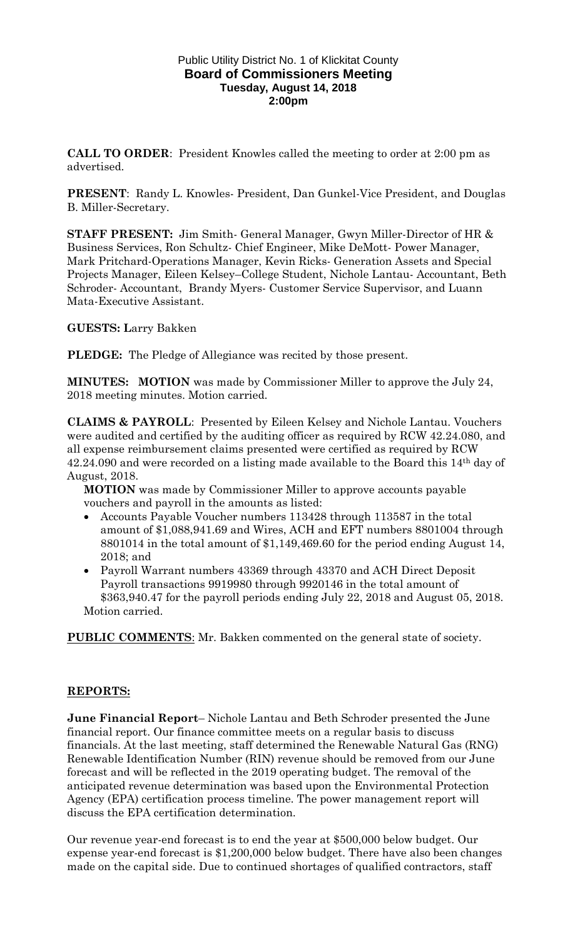## Public Utility District No. 1 of Klickitat County **Board of Commissioners Meeting Tuesday, August 14, 2018 2:00pm**

**CALL TO ORDER**: President Knowles called the meeting to order at 2:00 pm as advertised.

**PRESENT**: Randy L. Knowles- President, Dan Gunkel-Vice President, and Douglas B. Miller-Secretary.

**STAFF PRESENT:** Jim Smith- General Manager, Gwyn Miller-Director of HR & Business Services, Ron Schultz- Chief Engineer, Mike DeMott- Power Manager, Mark Pritchard-Operations Manager, Kevin Ricks- Generation Assets and Special Projects Manager, Eileen Kelsey–College Student, Nichole Lantau- Accountant, Beth Schroder- Accountant, Brandy Myers- Customer Service Supervisor, and Luann Mata-Executive Assistant.

**GUESTS: L**arry Bakken

**PLEDGE:** The Pledge of Allegiance was recited by those present.

**MINUTES: MOTION** was made by Commissioner Miller to approve the July 24, 2018 meeting minutes. Motion carried.

**CLAIMS & PAYROLL**: Presented by Eileen Kelsey and Nichole Lantau. Vouchers were audited and certified by the auditing officer as required by RCW 42.24.080, and all expense reimbursement claims presented were certified as required by RCW 42.24.090 and were recorded on a listing made available to the Board this 14th day of August, 2018.

**MOTION** was made by Commissioner Miller to approve accounts payable vouchers and payroll in the amounts as listed:

- Accounts Payable Voucher numbers 113428 through 113587 in the total amount of \$1,088,941.69 and Wires, ACH and EFT numbers 8801004 through 8801014 in the total amount of \$1,149,469.60 for the period ending August 14, 2018; and
- Payroll Warrant numbers 43369 through 43370 and ACH Direct Deposit Payroll transactions 9919980 through 9920146 in the total amount of \$363,940.47 for the payroll periods ending July 22, 2018 and August 05, 2018. Motion carried.

**PUBLIC COMMENTS**: Mr. Bakken commented on the general state of society.

## **REPORTS:**

**June Financial Report**– Nichole Lantau and Beth Schroder presented the June financial report. Our finance committee meets on a regular basis to discuss financials. At the last meeting, staff determined the Renewable Natural Gas (RNG) Renewable Identification Number (RIN) revenue should be removed from our June forecast and will be reflected in the 2019 operating budget. The removal of the anticipated revenue determination was based upon the Environmental Protection Agency (EPA) certification process timeline. The power management report will discuss the EPA certification determination.

Our revenue year-end forecast is to end the year at \$500,000 below budget. Our expense year-end forecast is \$1,200,000 below budget. There have also been changes made on the capital side. Due to continued shortages of qualified contractors, staff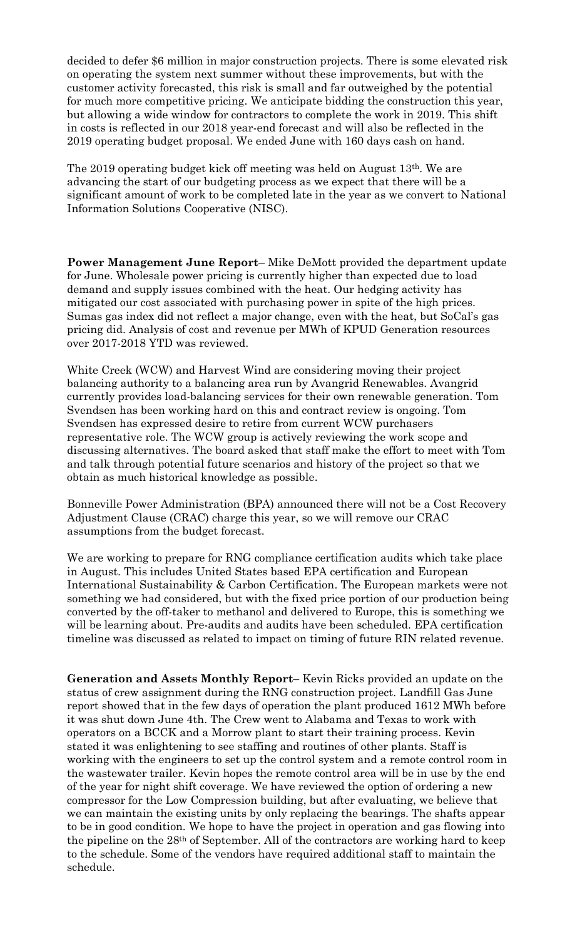decided to defer \$6 million in major construction projects. There is some elevated risk on operating the system next summer without these improvements, but with the customer activity forecasted, this risk is small and far outweighed by the potential for much more competitive pricing. We anticipate bidding the construction this year, but allowing a wide window for contractors to complete the work in 2019. This shift in costs is reflected in our 2018 year-end forecast and will also be reflected in the 2019 operating budget proposal. We ended June with 160 days cash on hand.

The 2019 operating budget kick off meeting was held on August  $13<sup>th</sup>$ . We are advancing the start of our budgeting process as we expect that there will be a significant amount of work to be completed late in the year as we convert to National Information Solutions Cooperative (NISC).

**Power Management June Report**– Mike DeMott provided the department update for June. Wholesale power pricing is currently higher than expected due to load demand and supply issues combined with the heat. Our hedging activity has mitigated our cost associated with purchasing power in spite of the high prices. Sumas gas index did not reflect a major change, even with the heat, but SoCal's gas pricing did. Analysis of cost and revenue per MWh of KPUD Generation resources over 2017-2018 YTD was reviewed.

White Creek (WCW) and Harvest Wind are considering moving their project balancing authority to a balancing area run by Avangrid Renewables. Avangrid currently provides load-balancing services for their own renewable generation. Tom Svendsen has been working hard on this and contract review is ongoing. Tom Svendsen has expressed desire to retire from current WCW purchasers representative role. The WCW group is actively reviewing the work scope and discussing alternatives. The board asked that staff make the effort to meet with Tom and talk through potential future scenarios and history of the project so that we obtain as much historical knowledge as possible.

Bonneville Power Administration (BPA) announced there will not be a Cost Recovery Adjustment Clause (CRAC) charge this year, so we will remove our CRAC assumptions from the budget forecast.

We are working to prepare for RNG compliance certification audits which take place in August. This includes United States based EPA certification and European International Sustainability & Carbon Certification. The European markets were not something we had considered, but with the fixed price portion of our production being converted by the off-taker to methanol and delivered to Europe, this is something we will be learning about. Pre-audits and audits have been scheduled. EPA certification timeline was discussed as related to impact on timing of future RIN related revenue.

**Generation and Assets Monthly Report**– Kevin Ricks provided an update on the status of crew assignment during the RNG construction project. Landfill Gas June report showed that in the few days of operation the plant produced 1612 MWh before it was shut down June 4th. The Crew went to Alabama and Texas to work with operators on a BCCK and a Morrow plant to start their training process. Kevin stated it was enlightening to see staffing and routines of other plants. Staff is working with the engineers to set up the control system and a remote control room in the wastewater trailer. Kevin hopes the remote control area will be in use by the end of the year for night shift coverage. We have reviewed the option of ordering a new compressor for the Low Compression building, but after evaluating, we believe that we can maintain the existing units by only replacing the bearings. The shafts appear to be in good condition. We hope to have the project in operation and gas flowing into the pipeline on the 28th of September. All of the contractors are working hard to keep to the schedule. Some of the vendors have required additional staff to maintain the schedule.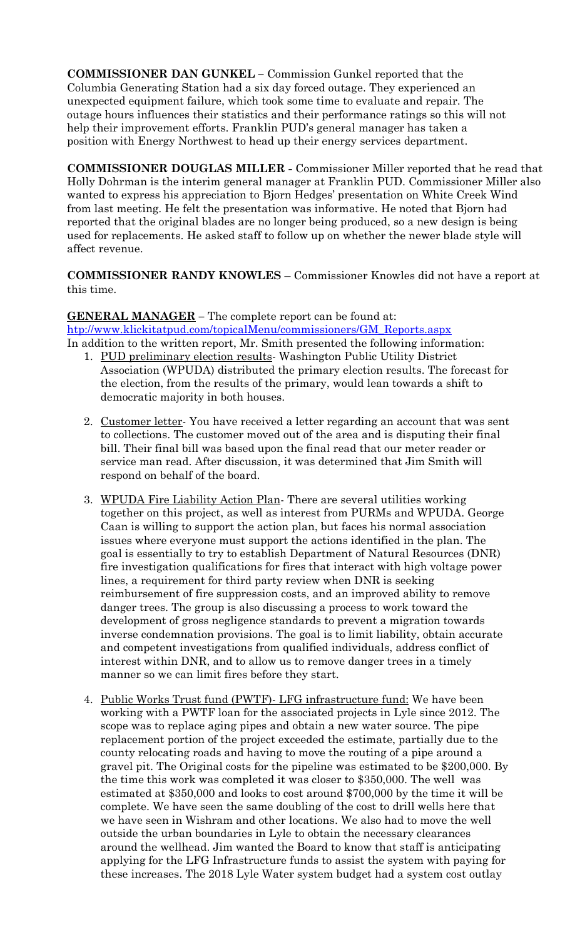**COMMISSIONER DAN GUNKEL –** Commission Gunkel reported that the Columbia Generating Station had a six day forced outage. They experienced an unexpected equipment failure, which took some time to evaluate and repair. The outage hours influences their statistics and their performance ratings so this will not help their improvement efforts. Franklin PUD's general manager has taken a position with Energy Northwest to head up their energy services department.

**COMMISSIONER DOUGLAS MILLER -** Commissioner Miller reported that he read that Holly Dohrman is the interim general manager at Franklin PUD. Commissioner Miller also wanted to express his appreciation to Bjorn Hedges' presentation on White Creek Wind from last meeting. He felt the presentation was informative. He noted that Bjorn had reported that the original blades are no longer being produced, so a new design is being used for replacements. He asked staff to follow up on whether the newer blade style will affect revenue.

**COMMISSIONER RANDY KNOWLES** – Commissioner Knowles did not have a report at this time.

**GENERAL MANAGER –** The complete report can be found at: [htp://www.klickitatpud.com/topicalMenu/commissioners/GM\\_Reports.aspx](http://www.klickitatpud.com/topicalMenu/commissioners/GM_Reports.aspx) In addition to the written report, Mr. Smith presented the following information:

- 1. PUD preliminary election results-Washington Public Utility District Association (WPUDA) distributed the primary election results. The forecast for the election, from the results of the primary, would lean towards a shift to democratic majority in both houses.
- 2. Customer letter- You have received a letter regarding an account that was sent to collections. The customer moved out of the area and is disputing their final bill. Their final bill was based upon the final read that our meter reader or service man read. After discussion, it was determined that Jim Smith will respond on behalf of the board.
- 3. WPUDA Fire Liability Action Plan- There are several utilities working together on this project, as well as interest from PURMs and WPUDA. George Caan is willing to support the action plan, but faces his normal association issues where everyone must support the actions identified in the plan. The goal is essentially to try to establish Department of Natural Resources (DNR) fire investigation qualifications for fires that interact with high voltage power lines, a requirement for third party review when DNR is seeking reimbursement of fire suppression costs, and an improved ability to remove danger trees. The group is also discussing a process to work toward the development of gross negligence standards to prevent a migration towards inverse condemnation provisions. The goal is to limit liability, obtain accurate and competent investigations from qualified individuals, address conflict of interest within DNR, and to allow us to remove danger trees in a timely manner so we can limit fires before they start.
- 4. Public Works Trust fund (PWTF)- LFG infrastructure fund: We have been working with a PWTF loan for the associated projects in Lyle since 2012. The scope was to replace aging pipes and obtain a new water source. The pipe replacement portion of the project exceeded the estimate, partially due to the county relocating roads and having to move the routing of a pipe around a gravel pit. The Original costs for the pipeline was estimated to be \$200,000. By the time this work was completed it was closer to \$350,000. The well was estimated at \$350,000 and looks to cost around \$700,000 by the time it will be complete. We have seen the same doubling of the cost to drill wells here that we have seen in Wishram and other locations. We also had to move the well outside the urban boundaries in Lyle to obtain the necessary clearances around the wellhead. Jim wanted the Board to know that staff is anticipating applying for the LFG Infrastructure funds to assist the system with paying for these increases. The 2018 Lyle Water system budget had a system cost outlay